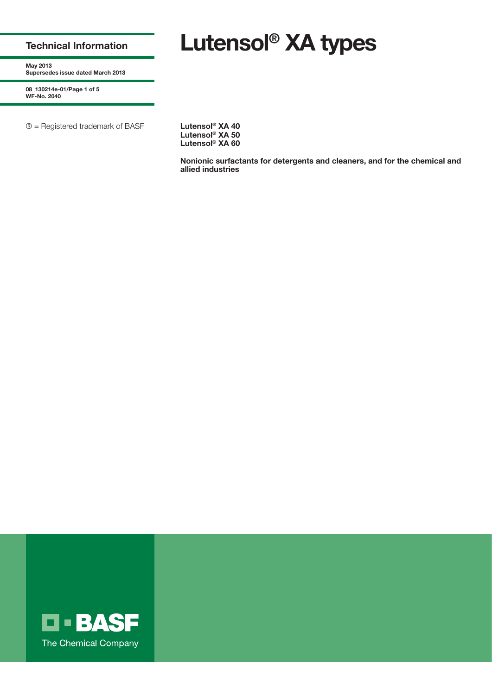## **Technical Information**

# **Lutensol® XA types**

**May 2013 Supersedes issue dated March 2013**

**08\_130214e-01/Page 1 of 5 WF-No. 2040**

® = Registered trademark of BASF **Lutensol® XA 40**

**Lutensol® XA 50 Lutensol® XA 60**

**Nonionic surfactants for detergents and cleaners, and for the chemical and allied industries**

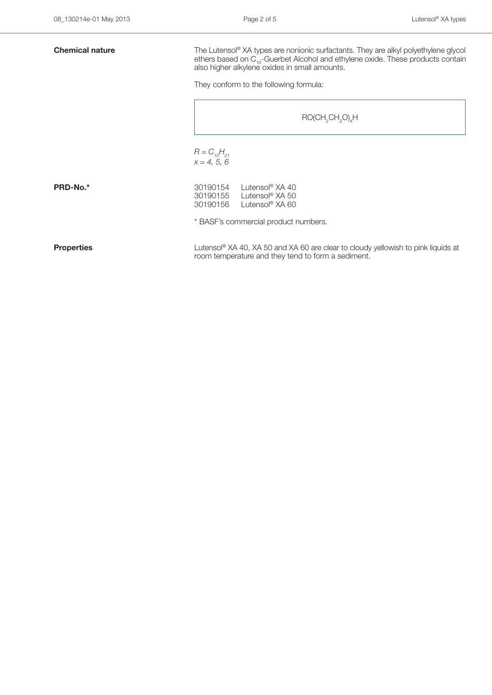| <b>Chemical nature</b> | The Lutensol® XA types are nonionic surfactants. They are alkyl polyethylene glycol<br>ethers based on C <sub>10</sub> -Guerbet Alcohol and ethylene oxide. These products contain<br>also higher alkylene oxides in small amounts. |  |  |  |  |
|------------------------|-------------------------------------------------------------------------------------------------------------------------------------------------------------------------------------------------------------------------------------|--|--|--|--|
|                        | They conform to the following formula:                                                                                                                                                                                              |  |  |  |  |
|                        | $RO(CH,CH, O)_{x}H$                                                                                                                                                                                                                 |  |  |  |  |
|                        | $R = C_{10}H_{21}$<br>$x = 4, 5, 6$                                                                                                                                                                                                 |  |  |  |  |
| PRD-No.*               | 30190154<br>Lutensol <sup>®</sup> $XA$ 40<br>30190155<br>Lutensol® XA 50<br>Lutensol® XA 60<br>30190156                                                                                                                             |  |  |  |  |
|                        | * BASF's commercial product numbers.                                                                                                                                                                                                |  |  |  |  |
| <b>Properties</b>      | Lutensol <sup>®</sup> XA 40, XA 50 and XA 60 are clear to cloudy yellowish to pink liquids at<br>room temperature and they tend to form a sediment.                                                                                 |  |  |  |  |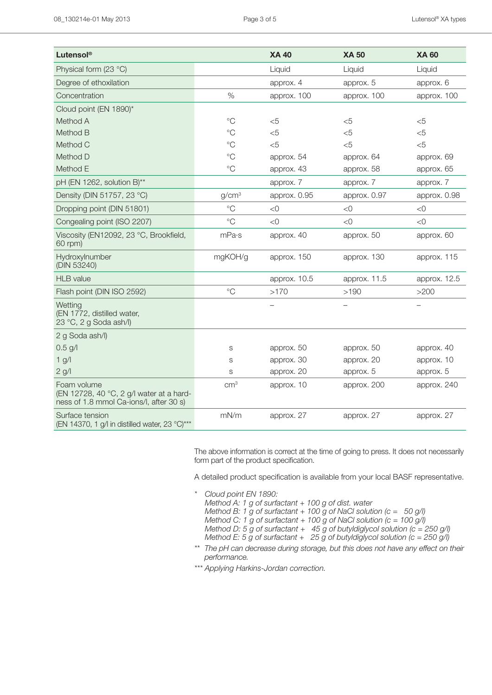| Lutensol®                                                                                          |                   | <b>XA 40</b> | <b>XA 50</b> | <b>XA 60</b> |
|----------------------------------------------------------------------------------------------------|-------------------|--------------|--------------|--------------|
| Physical form (23 °C)                                                                              |                   | Liquid       | Liquid       | Liquid       |
| Degree of ethoxilation                                                                             |                   | approx. 4    | approx. 5    | approx. 6    |
| Concentration                                                                                      | $\%$              | approx. 100  | approx. 100  | approx. 100  |
| Cloud point (EN 1890)*                                                                             |                   |              |              |              |
| Method A                                                                                           | $^{\circ}C$       | $<$ 5        | $<$ 5        | $<$ 5        |
| Method B                                                                                           | $^{\circ}C$       | $<$ 5        | $<$ 5        | $<$ 5        |
| Method C                                                                                           | $^{\circ}$ C      | $<$ 5        | $<$ 5        | $<$ 5        |
| Method D                                                                                           | $\rm ^{\circ}C$   | approx. 54   | approx. 64   | approx. 69   |
| Method E                                                                                           | $^{\circ}$ C      | approx. 43   | approx. 58   | approx. 65   |
| pH (EN 1262, solution B)**                                                                         |                   | approx. 7    | approx. 7    | approx. 7    |
| Density (DIN 51757, 23 °C)                                                                         | g/cm <sup>3</sup> | approx. 0.95 | approx. 0.97 | approx. 0.98 |
| Dropping point (DIN 51801)                                                                         | $^{\circ}C$       | < 0          | < 0          | < 0          |
| Congealing point (ISO 2207)                                                                        | $^{\circ}C$       | < 0          | $<$ 0        | < 0          |
| Viscosity (EN12092, 23 °C, Brookfield,<br>60 rpm)                                                  | mPa·s             | approx. 40   | approx. 50   | approx. 60   |
| Hydroxylnumber<br>(DIN 53240)                                                                      | mgKOH/g           | approx. 150  | approx. 130  | approx. 115  |
| <b>HLB</b> value                                                                                   |                   | approx. 10.5 | approx. 11.5 | approx. 12.5 |
| Flash point (DIN ISO 2592)                                                                         | $^{\circ}$ C      | >170         | >190         | >200         |
| Wetting<br>(EN 1772, distilled water,<br>23 °C, 2 g Soda ash/l)                                    |                   |              |              |              |
| 2 g Soda ash/l)                                                                                    |                   |              |              |              |
| $0.5$ g/l                                                                                          | S                 | approx. 50   | approx. 50   | approx. 40   |
| $1$ g/l                                                                                            | S                 | approx. 30   | approx. 20   | approx. 10   |
| $2$ g/l                                                                                            | S                 | approx. 20   | approx. 5    | approx. 5    |
| Foam volume<br>(EN 12728, 40 °C, 2 g/l water at a hard-<br>ness of 1.8 mmol Ca-ions/l, after 30 s) | cm <sup>3</sup>   | approx. 10   | approx. 200  | approx. 240  |
| Surface tension<br>(EN 14370, 1 g/l in distilled water, 23 °C)***                                  | mN/m              | approx. 27   | approx. 27   | approx. 27   |

The above information is correct at the time of going to press. It does not necessarily form part of the product specification.

A detailed product specification is available from your local BASF representative.

- *\*\*\* Cloud point EN 1890: Method A: 1 g of surfactant + 100 g of dist. water Method B: 1 g of surfactant + 100 g of NaCl solution (c = 50 g/l) Method C: 1 g of surfactant + 100 g of NaCl solution (c = 100 g/l) Method D: 5 g of surfactant + 45 g of butyldiglycol solution (c = 250 g/l) Method E: 5 g of surfactant + 25 g of butyldiglycol solution (c = 250 g/l)*
- *\*\*\* The pH can decrease during storage, but this does not have any effect on their performance.*
- *\*\*\* Applying Harkins-Jordan correction.*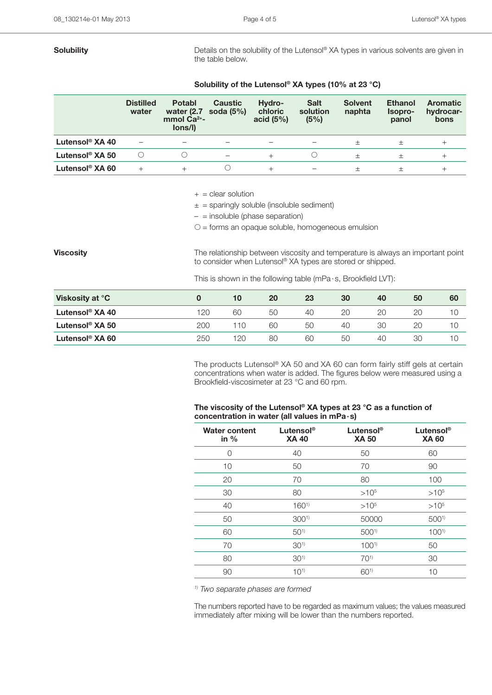**Solubility Solubility** Details on the solubility of the Lutensol® XA types in various solvents are given in the table below.

## **Solubility of the Lutensol® XA types (10% at 23 °C)**

|                             | <b>Distilled</b><br>water | <b>Potabl</b><br>water (2.7<br>mmol $Ca2+$ -<br>lons/l) | <b>Caustic</b><br>soda $(5%)$ | Hydro-<br>chloric<br>acid $(5%)$ | <b>Salt</b><br>solution<br>(5%) | <b>Solvent</b><br>naphta | <b>Ethanol</b><br>Isopro-<br>panol | <b>Aromatic</b><br>hydrocar-<br>bons |
|-----------------------------|---------------------------|---------------------------------------------------------|-------------------------------|----------------------------------|---------------------------------|--------------------------|------------------------------------|--------------------------------------|
| Lutensol <sup>®</sup> XA 40 |                           |                                                         | $\overline{\phantom{a}}$      | -                                | -                               |                          |                                    |                                      |
| Lutensol <sup>®</sup> XA 50 |                           |                                                         |                               | $^{+}$                           |                                 | $^{+}$                   | $^{+}$                             | $^+$                                 |
| Lutensol <sup>®</sup> XA 60 |                           |                                                         |                               | $^{+}$                           | $\overline{\phantom{0}}$        | $^+$                     | $^+$                               |                                      |

 $+$  = clear solution

 $\pm$  = sparingly soluble (insoluble sediment)

 $-$  = insoluble (phase separation)

 $O =$  forms an opaque soluble, homogeneous emulsion

**Viscosity Viscosity The relationship between viscosity and temperature is always an important point** to consider when Lutensol® XA types are stored or shipped.

This is shown in the following table (mPa· s, Brookfield LVT):

| Viskosity at °C             |     | 10  | 20 | 23 | 30 | 40 | 50 | 60 |
|-----------------------------|-----|-----|----|----|----|----|----|----|
| Lutensol <sup>®</sup> XA 40 | 120 | 60  | 50 | 40 | 20 | 20 |    |    |
| Lutensol <sup>®</sup> XA 50 | 200 | 110 | 60 | 50 | 40 | 30 | 20 |    |
| Lutensol <sup>®</sup> XA 60 | 250 | 120 | 80 | 60 | 50 | 40 | 30 |    |

 The products Lutensol® XA 50 and XA 60 can form fairly stiff gels at certain concentrations when water is added. The figures below were measured using a Brookfield-viscosimeter at 23 °C and 60 rpm.

### **The viscosity of the Lutensol® XA types at 23 °C as a function of concentration in water (all values in mPa·s)**

| <b>Water content</b><br>in $%$ | Lutensol <sup>®</sup><br><b>XA 40</b> | Lutensol <sup>®</sup><br><b>XA 50</b> | Lutensol <sup>®</sup><br><b>XA 60</b> |
|--------------------------------|---------------------------------------|---------------------------------------|---------------------------------------|
| 0                              | 40                                    | 50                                    | 60                                    |
| 10                             | 50                                    | 70                                    | 90                                    |
| 20                             | 70                                    | 80                                    | 100                                   |
| 30                             | 80                                    | $>10^{5}$                             | $>10^{5}$                             |
| 40                             | $160^{1}$                             | $>10^{5}$                             | $>10^{5}$                             |
| 50                             | 300 <sup>1</sup>                      | 50000                                 | $500^{1}$                             |
| 60                             | $50^{1}$                              | 5001)                                 | $100^{1}$                             |
| 70                             | $30^{1}$                              | $100^{1}$                             | 50                                    |
| 80                             | 30 <sup>1</sup>                       | $70^{1}$                              | 30                                    |
| 90                             | $10^{1}$                              | 601)                                  | 10                                    |

*1) Two separate phases are formed*

The numbers reported have to be regarded as maximum values; the values measured immediately after mixing will be lower than the numbers reported.